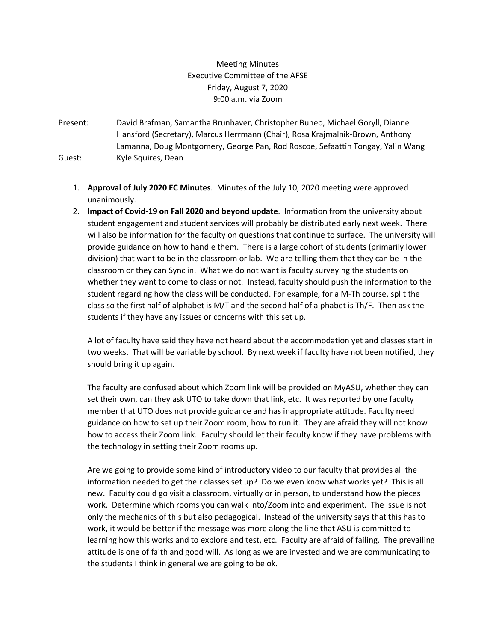# Meeting Minutes Executive Committee of the AFSE Friday, August 7, 2020 9:00 a.m. via Zoom

- Present: David Brafman, Samantha Brunhaver, Christopher Buneo, Michael Goryll, Dianne Hansford (Secretary), Marcus Herrmann (Chair), Rosa Krajmalnik-Brown, Anthony Lamanna, Doug Montgomery, George Pan, Rod Roscoe, Sefaattin Tongay, Yalin Wang Guest: Kyle Squires, Dean
	- 1. **Approval of July 2020 EC Minutes**. Minutes of the July 10, 2020 meeting were approved unanimously.
	- 2. **Impact of Covid-19 on Fall 2020 and beyond update**. Information from the university about student engagement and student services will probably be distributed early next week. There will also be information for the faculty on questions that continue to surface. The university will provide guidance on how to handle them. There is a large cohort of students (primarily lower division) that want to be in the classroom or lab. We are telling them that they can be in the classroom or they can Sync in. What we do not want is faculty surveying the students on whether they want to come to class or not. Instead, faculty should push the information to the student regarding how the class will be conducted. For example, for a M-Th course, split the class so the first half of alphabet is M/T and the second half of alphabet is Th/F. Then ask the students if they have any issues or concerns with this set up.

A lot of faculty have said they have not heard about the accommodation yet and classes start in two weeks. That will be variable by school. By next week if faculty have not been notified, they should bring it up again.

The faculty are confused about which Zoom link will be provided on MyASU, whether they can set their own, can they ask UTO to take down that link, etc. It was reported by one faculty member that UTO does not provide guidance and has inappropriate attitude. Faculty need guidance on how to set up their Zoom room; how to run it. They are afraid they will not know how to access their Zoom link. Faculty should let their faculty know if they have problems with the technology in setting their Zoom rooms up.

Are we going to provide some kind of introductory video to our faculty that provides all the information needed to get their classes set up? Do we even know what works yet? This is all new. Faculty could go visit a classroom, virtually or in person, to understand how the pieces work. Determine which rooms you can walk into/Zoom into and experiment. The issue is not only the mechanics of this but also pedagogical. Instead of the university says that this has to work, it would be better if the message was more along the line that ASU is committed to learning how this works and to explore and test, etc. Faculty are afraid of failing. The prevailing attitude is one of faith and good will. As long as we are invested and we are communicating to the students I think in general we are going to be ok.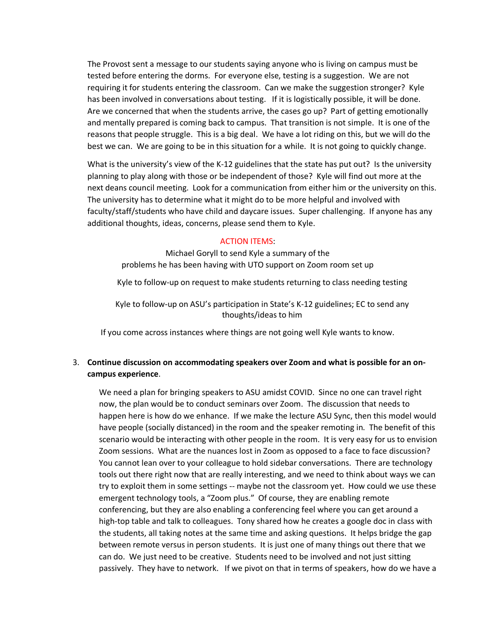The Provost sent a message to our students saying anyone who is living on campus must be tested before entering the dorms. For everyone else, testing is a suggestion. We are not requiring it for students entering the classroom. Can we make the suggestion stronger? Kyle has been involved in conversations about testing. If it is logistically possible, it will be done. Are we concerned that when the students arrive, the cases go up? Part of getting emotionally and mentally prepared is coming back to campus. That transition is not simple. It is one of the reasons that people struggle. This is a big deal. We have a lot riding on this, but we will do the best we can. We are going to be in this situation for a while. It is not going to quickly change.

What is the university's view of the K-12 guidelines that the state has put out? Is the university planning to play along with those or be independent of those? Kyle will find out more at the next deans council meeting. Look for a communication from either him or the university on this. The university has to determine what it might do to be more helpful and involved with faculty/staff/students who have child and daycare issues. Super challenging. If anyone has any additional thoughts, ideas, concerns, please send them to Kyle.

## ACTION ITEMS:

Michael Goryll to send Kyle a summary of the problems he has been having with UTO support on Zoom room set up

Kyle to follow-up on request to make students returning to class needing testing

Kyle to follow-up on ASU's participation in State's K-12 guidelines; EC to send any thoughts/ideas to him

If you come across instances where things are not going well Kyle wants to know.

# 3. **Continue discussion on accommodating speakers over Zoom and what is possible for an oncampus experience**.

We need a plan for bringing speakers to ASU amidst COVID. Since no one can travel right now, the plan would be to conduct seminars over Zoom. The discussion that needs to happen here is how do we enhance. If we make the lecture ASU Sync, then this model would have people (socially distanced) in the room and the speaker remoting in. The benefit of this scenario would be interacting with other people in the room. It is very easy for us to envision Zoom sessions. What are the nuances lost in Zoom as opposed to a face to face discussion? You cannot lean over to your colleague to hold sidebar conversations. There are technology tools out there right now that are really interesting, and we need to think about ways we can try to exploit them in some settings -- maybe not the classroom yet. How could we use these emergent technology tools, a "Zoom plus." Of course, they are enabling remote conferencing, but they are also enabling a conferencing feel where you can get around a high-top table and talk to colleagues. Tony shared how he creates a google doc in class with the students, all taking notes at the same time and asking questions. It helps bridge the gap between remote versus in person students. It is just one of many things out there that we can do. We just need to be creative. Students need to be involved and not just sitting passively. They have to network. If we pivot on that in terms of speakers, how do we have a